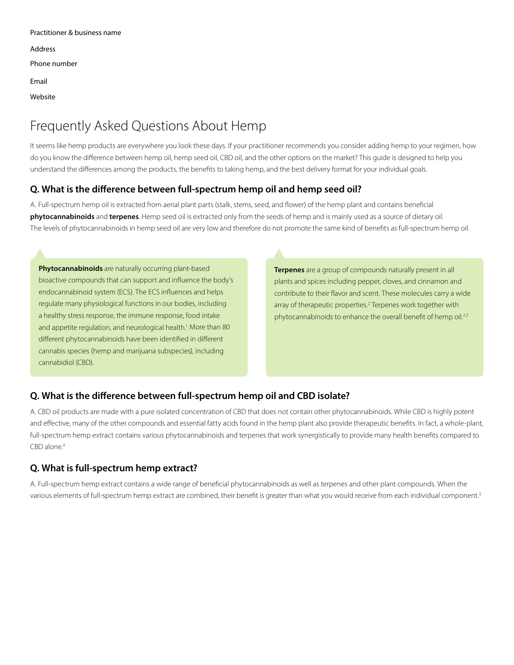| Practitioner & business name |
|------------------------------|
| Address                      |
| Phone number                 |
| Fmail                        |
| Website                      |

# Frequently Asked Questions About Hemp

It seems like hemp products are everywhere you look these days. If your practitioner recommends you consider adding hemp to your regimen, how do you know the difference between hemp oil, hemp seed oil, CBD oil, and the other options on the market? This guide is designed to help you understand the differences among the products, the benefits to taking hemp, and the best delivery format for your individual goals.

#### **Q. What is the difference between full-spectrum hemp oil and hemp seed oil?**

A. Full-spectrum hemp oil is extracted from aerial plant parts (stalk, stems, seed, and flower) of the hemp plant and contains beneficial **phytocannabinoids** and **terpenes**. Hemp seed oil is extracted only from the seeds of hemp and is mainly used as a source of dietary oil. The levels of phytocannabinoids in hemp seed oil are very low and therefore do not promote the same kind of benefits as full-spectrum hemp oil.

**Phytocannabinoids** are naturally occurring plant-based bioactive compounds that can support and influence the body's endocannabinoid system (ECS). The ECS influences and helps regulate many physiological functions in our bodies, including a healthy stress response, the immune response, food intake and appetite regulation, and neurological health.<sup>1</sup> More than 80 different phytocannabinoids have been identified in different cannabis species (hemp and marijuana subspecies), including cannabidiol (CBD).

**Terpenes** are a group of compounds naturally present in all plants and spices including pepper, cloves, and cinnamon and contribute to their flavor and scent. These molecules carry a wide array of therapeutic properties.<sup>2</sup> Terpenes work together with phytocannabinoids to enhance the overall benefit of hemp oil.<sup>2,3</sup>

#### **Q. What is the difference between full-spectrum hemp oil and CBD isolate?**

A. CBD oil products are made with a pure isolated concentration of CBD that does not contain other phytocannabinoids. While CBD is highly potent and effective, many of the other compounds and essential fatty acids found in the hemp plant also provide therapeutic benefits. In fact, a whole-plant, full-spectrum hemp extract contains various phytocannabinoids and terpenes that work synergistically to provide many health benefits compared to CBD alone.<sup>4</sup>

#### **Q. What is full-spectrum hemp extract?**

A. Full-spectrum hemp extract contains a wide range of beneficial phytocannabinoids as well as terpenes and other plant compounds. When the various elements of full-spectrum hemp extract are combined, their benefit is greater than what you would receive from each individual component.<sup>3</sup>